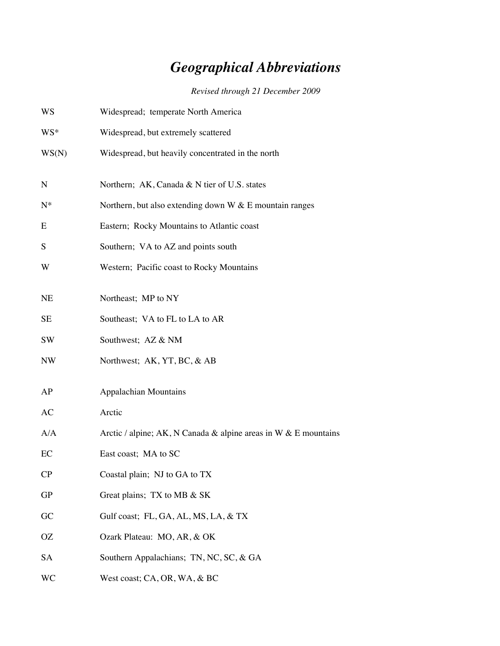## *Geographical Abbreviations*

*Revised through 21 December 2009*

| WS        | Widespread; temperate North America                             |  |  |  |  |
|-----------|-----------------------------------------------------------------|--|--|--|--|
| WS*       | Widespread, but extremely scattered                             |  |  |  |  |
| WS(N)     | Widespread, but heavily concentrated in the north               |  |  |  |  |
| N         | Northern; AK, Canada & N tier of U.S. states                    |  |  |  |  |
| $N^*$     | Northern, but also extending down $W & E$ mountain ranges       |  |  |  |  |
| E         | Eastern; Rocky Mountains to Atlantic coast                      |  |  |  |  |
| S         | Southern; VA to AZ and points south                             |  |  |  |  |
| W         | Western; Pacific coast to Rocky Mountains                       |  |  |  |  |
| <b>NE</b> | Northeast; MP to NY                                             |  |  |  |  |
| SE        | Southeast; VA to FL to LA to AR                                 |  |  |  |  |
| SW        | Southwest; AZ & NM                                              |  |  |  |  |
| <b>NW</b> | Northwest; AK, YT, BC, & AB                                     |  |  |  |  |
| AP        | <b>Appalachian Mountains</b>                                    |  |  |  |  |
| AC        | Arctic                                                          |  |  |  |  |
| A/A       | Arctic / alpine; AK, N Canada & alpine areas in W & E mountains |  |  |  |  |
| EC        | East coast; MA to SC                                            |  |  |  |  |
| CP        | Coastal plain; NJ to GA to TX                                   |  |  |  |  |
| <b>GP</b> | Great plains; TX to MB & SK                                     |  |  |  |  |
| GC        | Gulf coast; FL, GA, AL, MS, LA, & TX                            |  |  |  |  |
| OΖ        | Ozark Plateau: MO, AR, & OK                                     |  |  |  |  |
| SA        | Southern Appalachians; TN, NC, SC, & GA                         |  |  |  |  |
| <b>WC</b> | West coast; CA, OR, WA, & BC                                    |  |  |  |  |